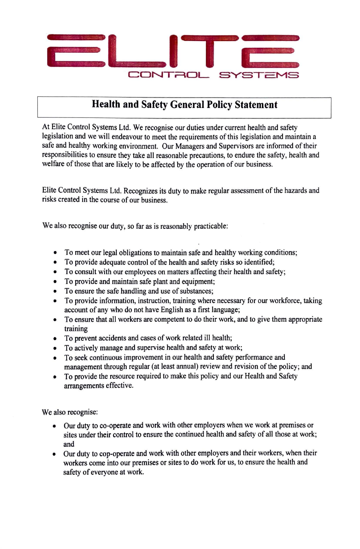

## **Health and Safety General Policy Statement**

At Elite Control Systems Ltd. We recognise our duties under current health and safety legislation and we will endeavour to meet the requirements of this legislation and maintain a safe and healthy working environment. Our Managers and Supervisors are informed of their responsibilities to ensure they take all reasonable precautions, to endure the safety, health and welfare of those that are likely to be affected by the operation of our business.

Elite Control Systems Ltd. Recognizes its duty to make regular assessment of the hazards and risks created in the course of our business.

We also recognise our duty, so far as is reasonably practicable:

- To meet our legal obligations to maintain safe and healthy working conditions;
- To provide adequate control of the health and safety risks so identified;
- To consult with our employees on matters affecting their health and safety;
- To provide and maintain safe plant and equipment;
- To ensure the safe handling and use of substances;
- To provide information, instruction, training where necessary for our workforce, taking account of any who do not have English as a first language;
- To ensure that all workers are competent to do their work, and to give them appropriate training
- To prevent accidents and cases of work related ill health;
- To actively manage and supervise health and safety at work;
- To seek continuous improvement in our health and safety performance and management through regular (at least annual) review and revision of the policy; and
- To provide the resource required to make this policy and our Health and Safety arrangements effective.

We also recognise:

- Our duty to co-operate and work with other employers when we work at premises or sites under their control to ensure the continued health and safety of all those at work; and
- Our duty to cop-operate and work with other employers and their workers, when their workers come into our premises or sites to do work for us, to ensure the health and safety of everyone at work.